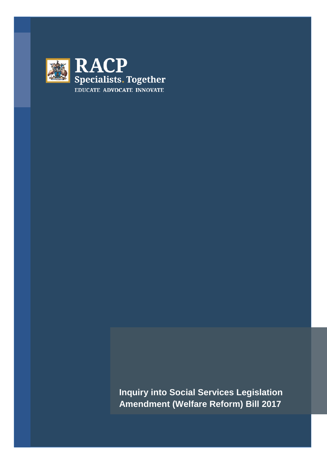

**Inquiry into Social Services Legislation Amendment (Welfare Reform) Bill 2017**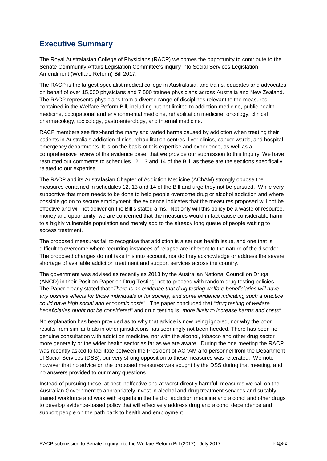### **Executive Summary**

The Royal Australasian College of Physicians (RACP) welcomes the opportunity to contribute to the Senate Community Affairs Legislation Committee's inquiry into Social Services Legislation Amendment (Welfare Reform) Bill 2017.

The RACP is the largest specialist medical college in Australasia, and trains, educates and advocates on behalf of over 15,000 physicians and 7,500 trainee physicians across Australia and New Zealand. The RACP represents physicians from a diverse range of disciplines relevant to the measures contained in the Welfare Reform Bill, including but not limited to addiction medicine, public health medicine, occupational and environmental medicine, rehabilitation medicine, oncology, clinical pharmacology, toxicology, gastroenterology, and internal medicine.

RACP members see first-hand the many and varied harms caused by addiction when treating their patients in Australia's addiction clinics, rehabilitation centres, liver clinics, cancer wards, and hospital emergency departments. It is on the basis of this expertise and experience, as well as a comprehensive review of the evidence base, that we provide our submission to this Inquiry. We have restricted our comments to schedules 12, 13 and 14 of the Bill, as these are the sections specifically related to our expertise.

The RACP and its Australasian Chapter of Addiction Medicine (AChAM) strongly oppose the measures contained in schedules 12, 13 and 14 of the Bill and urge they not be pursued. While very supportive that more needs to be done to help people overcome drug or alcohol addiction and where possible go on to secure employment, the evidence indicates that the measures proposed will not be effective and will not deliver on the Bill's stated aims. Not only will this policy be a waste of resource, money and opportunity, we are concerned that the measures would in fact cause considerable harm to a highly vulnerable population and merely add to the already long queue of people waiting to access treatment.

The proposed measures fail to recognise that addiction is a serious health issue, and one that is difficult to overcome where recurring instances of relapse are inherent to the nature of the disorder. The proposed changes do not take this into account, nor do they acknowledge or address the severe shortage of available addiction treatment and support services across the country.

The government was advised as recently as 2013 by the Australian National Council on Drugs (ANCD) [i](#page-12-0)n their Position Paper on Drug Testing<sup>i</sup> not to proceed with random drug testing policies. The Paper clearly stated that *"There is no evidence that drug testing welfare beneficiaries will have any positive effects for those individuals or for society, and some evidence indicating such a practice could have high social and economic costs*". The paper concluded that "*drug testing of welfare beneficiaries ought not be considered"* and drug testing is "*more likely to increase harms and costs".*

No explanation has been provided as to why that advice is now being ignored, nor why the poor results from similar trials in other jurisdictions has seemingly not been heeded. There has been no genuine consultation with addiction medicine, nor with the alcohol, tobacco and other drug sector more generally or the wider health sector as far as we are aware. During the one meeting the RACP was recently asked to facilitate between the President of AChAM and personnel from the Department of Social Services (DSS), our very strong opposition to these measures was reiterated. We note however that no advice on the proposed measures was sought by the DSS during that meeting, and no answers provided to our many questions.

Instead of pursuing these, at best ineffective and at worst directly harmful, measures we call on the Australian Government to appropriately invest in alcohol and drug treatment services and suitably trained workforce and work with experts in the field of addiction medicine and alcohol and other drugs to develop evidence-based policy that will effectively address drug and alcohol dependence and support people on the path back to health and employment.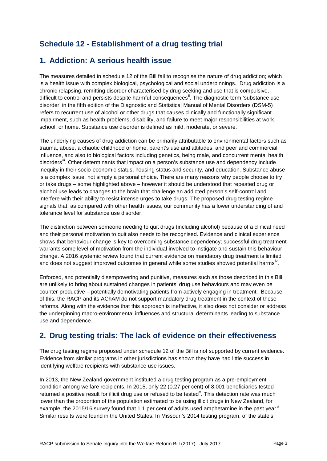# **Schedule 12 - Establishment of a drug testing trial**

#### **1. Addiction: A serious health issue**

The measures detailed in schedule 12 of the Bill fail to recognise the nature of drug addiction; which is a health issue with complex biological, psychological and social underpinnings. Drug addiction is a chronic relapsing, remitting disorder characterised by drug seeking and use that is compulsive, difficult to control and persists despite harmful consequences<sup>"</sup>. The diagnostic term 'substance use disorder' in the fifth edition of the Diagnostic and Statistical Manual of Mental Disorders (DSM-5) refers to recurrent use of alcohol or other drugs that causes clinically and functionally significant impairment, such as health problems, disability, and failure to meet major responsibilities at work, school, or home. Substance use disorder is defined as mild, moderate, or severe.

The underlying causes of drug addiction can be primarily attributable to environmental factors such as trauma, abuse, a chaotic childhood or home, parent's use and attitudes, and peer and commercial influence, and also to biological factors including genetics, being male, and concurrent mental health disorders<sup>ii</sup>. Other determinants that impact on a person's substance use and dependency include inequity in their socio-economic status, housing status and security, and education. Substance abuse is a complex issue, not simply a personal choice. There are many reasons why people choose to try or take drugs – some highlighted above – however it should be understood that repeated drug or alcohol use leads to changes to the brain that challenge an addicted person's self-control and interfere with their ability to resist intense urges to take drugs. The proposed drug testing regime signals that, as compared with other health issues, our community has a lower understanding of and tolerance level for substance use disorder.

The distinction between someone needing to quit drugs (including alcohol) because of a clinical need and their personal motivation to quit also needs to be recognised. Evidence and clinical experience shows that behaviour change is key to overcoming substance dependency; successful drug treatment warrants some level of motivation from the individual involved to instigate and sustain this behaviour change. A 2016 systemic review found that current evidence on mandatory drug treatment is limited and does not suggest improved outcomes in general while some studies showed potential harms<sup>[iv](#page-12-3)</sup>.

Enforced, and potentially disempowering and punitive, measures such as those described in this Bill are unlikely to bring about sustained changes in patients' drug use behaviours and may even be counter-productive – potentially demotivating patients from actively engaging in treatment. Because of this, the RACP and its AChAM do not support mandatory drug treatment in the context of these reforms. Along with the evidence that this approach is ineffective, it also does not consider or address the underpinning macro-environmental influences and structural determinants leading to substance use and dependence.

#### **2. Drug testing trials: The lack of evidence on their effectiveness**

The drug testing regime proposed under schedule 12 of the Bill is not supported by current evidence. Evidence from similar programs in other jurisdictions has shown they have had little success in identifying welfare recipients with substance use issues.

In 2013, the New Zealand government instituted a drug testing program as a pre-employment condition among welfare recipients. In 2015, only 22 (0.27 per cent) of 8,001 beneficiaries tested returned a positi[v](#page-12-4)e result for illicit drug use or refused to be tested<sup>y</sup>. This detection rate was much lower than the proportion of the population estimated to be using illicit drugs in New Zealand, for example, the 2015/16 survey found that 1.1 per cent of adults used amphetamine in the past year<sup>[vi](#page-12-5)</sup>. Similar results were found in the United States. In Missouri's 2014 testing program, of the state's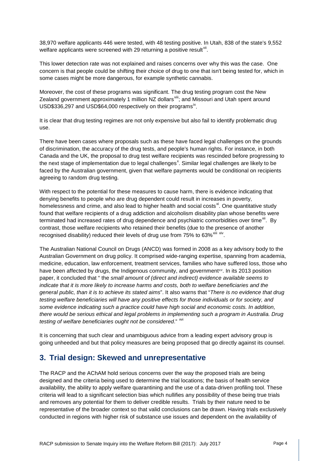38,970 welfare applicants 446 were tested, with 48 testing positive. In Utah, 838 of the state's 9,552 welfare applicants were screened with 29 returning a positive result<sup>[vii](#page-12-6)</sup>.

This lower detection rate was not explained and raises concerns over why this was the case. One concern is that people could be shifting their choice of drug to one that isn't being tested for, which in some cases might be more dangerous, for example synthetic cannabis.

Moreover, the cost of these programs was significant. The drug testing program cost the New Zealand government approximately 1 million NZ dollars<sup>[viii](#page-12-7)</sup>; and Missouri and Utah spent around USD\$336,297 and USD\$64,000 respectively on their programs<sup>[ix](#page-12-8)</sup>.

It is clear that drug testing regimes are not only expensive but also fail to identify problematic drug use.

There have been cases where proposals such as these have faced legal challenges on the grounds of discrimination, the accuracy of the drug tests, and people's human rights. For instance, in both Canada and the UK, the proposal to drug test welfare recipients was rescinded before progressing to the ne[x](#page-12-9)t stage of implementation due to legal challenges<sup>x</sup>. Similar legal challenges are likely to be faced by the Australian government, given that welfare payments would be conditional on recipients agreeing to random drug testing.

With respect to the potential for these measures to cause harm, there is evidence indicating that denying benefits to people who are drug dependent could result in increases in poverty, homelessness and crime, and also lead to higher health and social costs<sup>[xi](#page-12-10)</sup>. One quantitative study found that welfare recipients of a drug addiction and alcoholism disability plan whose benefits were terminated had increased rates of drug dependence and psychiatric comorbidities over time<sup>[xii](#page-12-11)</sup>. By contrast, those welfare recipients who retained their benefits (due to the presence of another recognised disability) reduced their levels of drug use from  $75\%$  to  $63\%$ <sup>[xiii](#page-12-12) [xiv](#page-12-13)</sup>.

The Australian National Council on Drugs (ANCD) was formed in 2008 as a key advisory body to the Australian Government on drug policy. It comprised wide-ranging expertise, spanning from academia, medicine, education, law enforcement, treatment services, families who h[av](#page-12-14)e suffered loss, those who have been affected by drugs, the Indigenous community, and government<sup>xv</sup>. In its 2013 position paper, it concluded that " the *small amount of (direct and indirect) evidence available seems to indicate that it is more likely to increase harms and costs, both to welfare beneficiaries and the general public, than it is to achieve its stated aims*". It also warns that "*There is no evidence that drug testing welfare beneficiaries will have any positive effects for those individuals or for society, and some evidence indicating such a practice could have high social and economic costs. In addition, there would be serious ethical and legal problems in implementing such a program in Australia. Drug testing of welfare beneficiaries ought not be considered.*" XVI

It is concerning that such clear and unambiguous advice from a leading expert advisory group is going unheeded and but that policy measures are being proposed that go directly against its counsel.

#### **3. Trial design: Skewed and unrepresentative**

The RACP and the AChAM hold serious concerns over the way the proposed trials are being designed and the criteria being used to determine the trial locations; the basis of health service availability, the ability to apply welfare quarantining and the use of a data-driven profiling tool. These criteria will lead to a significant selection bias which nullifies any possibility of these being true trials and removes any potential for them to deliver credible results. Trials by their nature need to be representative of the broader context so that valid conclusions can be drawn. Having trials exclusively conducted in regions with higher risk of substance use issues and dependent on the availability of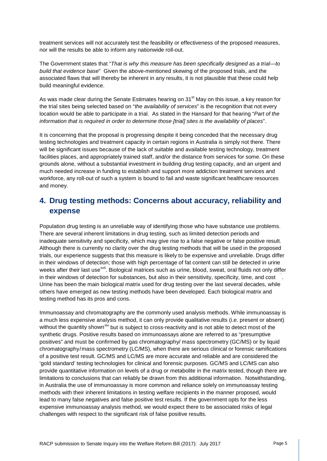treatment services will not accurately test the feasibility or effectiveness of the proposed measures, nor will the results be able to inform any nationwide roll-out.

The Government states that "*That is why this measure has been specifically designed as a trial—to build that evidence base*" Given the above-mentioned skewing of the proposed trials, and the associated flaws that will thereby be inherent in any results, it is not plausible that these could help build meaningful evidence.

As was made clear during the Senate Estimates hearing on 31<sup>st</sup> May on this issue, a key reason for the trial sites being selected based on "*the availability of services*" is the recognition that not every location would be able to participate in a trial. As stated in the Hansard for that hearing "*Part of the information that is required in order to determine those [trial] sites is the availability of places*".

It is concerning that the proposal is progressing despite it being conceded that the necessary drug testing technologies and treatment capacity in certain regions in Australia is simply not there. There will be significant issues because of the lack of suitable and available testing technology, treatment facilities places, and appropriately trained staff, and/or the distance from services for some. On these grounds alone, without a substantial investment in building drug testing capacity, and an urgent and much needed increase in funding to establish and support more addiction treatment services and workforce, any roll-out of such a system is bound to fail and waste significant healthcare resources and money.

# **4. Drug testing methods: Concerns about accuracy, reliability and expense**

Population drug testing is an unreliable way of identifying those who have substance use problems. There are several inherent limitations in drug testing, such as limited detection periods and inadequate sensitivity and specificity, which may give rise to a false negative or false positive result. Although there is currently no clarity over the drug testing methods that will be used in the proposed trials, our experience suggests that this measure is likely to be expensive and unreliable. Drugs differ in their windows of detection; those with high percentage of fat content can still be detected in urine weeks after their last use<sup>[xvii](#page-12-16)</sup>. Biological matrices such as urine, blood, sweat, oral fluids not only differ in their windows of detection for substances, but also in their sensitivity, specificity, time, and cost  $\ddot{\,}$ . Urine has been the main biological matrix used for drug testing over the last several decades, while others have emerged as new testing methods have been developed. Each biological matrix and testing method has its pros and cons.

Immunoassay and chromatography are the commonly used analysis methods. While immunoassay is a much less expensive analysis method, it can only provide qualitative results (i.e. present or absent) without the quantity shown<sup>[xix](#page-12-18)</sup> but is subject to cross-reactivity and is not able to detect most of the synthetic drugs. Positive results based on immunoassays alone are referred to as "presumptive positives" and must be confirmed by gas chromatography/ mass spectrometry (GC/MS) or by liquid chromatography/mass spectrometry (LC/MS), when there are serious clinical or forensic ramifications of a positive test result. GC/MS and LC/MS are more accurate and reliable and are considered the 'gold standard' testing technologies for clinical and forensic purposes. GC/MS and LC/MS can also provide quantitative information on levels of a drug or metabolite in the matrix tested, though there are limitations to conclusions that can reliably be drawn from this additional information. Notwithstanding, in Australia the use of immunoassay is more common and reliance solely on immunoassay testing methods with their inherent limitations in testing welfare recipients in the manner proposed, would lead to many false negatives and false positive test results. If the government opts for the less expensive immunoassay analysis method, we would expect there to be associated risks of legal challenges with respect to the significant risk of false positive results.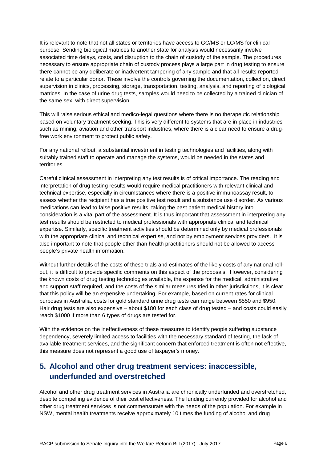It is relevant to note that not all states or territories have access to GC/MS or LC/MS for clinical purpose. Sending biological matrices to another state for analysis would necessarily involve associated time delays, costs, and disruption to the chain of custody of the sample. The procedures necessary to ensure appropriate chain of custody process plays a large part in drug testing to ensure there cannot be any deliberate or inadvertent tampering of any sample and that all results reported relate to a particular donor. These involve the controls governing the documentation, collection, direct supervision in clinics, processing, storage, transportation, testing, analysis, and reporting of biological matrices. In the case of urine drug tests, samples would need to be collected by a trained clinician of the same sex, with direct supervision.

This will raise serious ethical and medico-legal questions where there is no therapeutic relationship based on voluntary treatment seeking. This is very different to systems that are in place in industries such as mining, aviation and other transport industries, where there is a clear need to ensure a drugfree work environment to protect public safety.

For any national rollout, a substantial investment in testing technologies and facilities, along with suitably trained staff to operate and manage the systems, would be needed in the states and territories.

Careful clinical assessment in interpreting any test results is of critical importance. The reading and interpretation of drug testing results would require medical practitioners with relevant clinical and technical expertise, especially in circumstances where there is a positive immunoassay result, to assess whether the recipient has a true positive test result and a substance use disorder. As various medications can lead to false positive results, taking the past patient medical history into consideration is a vital part of the assessment. It is thus important that assessment in interpreting any test results should be restricted to medical professionals with appropriate clinical and technical expertise. Similarly, specific treatment activities should be determined only by medical professionals with the appropriate clinical and technical expertise, and not by employment services providers. It is also important to note that people other than health practitioners should not be allowed to access people's private health information.

Without further details of the costs of these trials and estimates of the likely costs of any national rollout, it is difficult to provide specific comments on this aspect of the proposals. However, considering the known costs of drug testing technologies available, the expense for the medical, administrative and support staff required, and the costs of the similar measures tried in other jurisdictions, it is clear that this policy will be an expensive undertaking. For example, based on current rates for clinical purposes in Australia, costs for gold standard urine drug tests can range between \$550 and \$950. Hair drug tests are also expensive – about \$180 for each class of drug tested – and costs could easily reach \$1000 if more than 6 types of drugs are tested for.

With the evidence on the ineffectiveness of these measures to identify people suffering substance dependency, severely limited access to facilities with the necessary standard of testing, the lack of available treatment services, and the significant concern that enforced treatment is often not effective, this measure does not represent a good use of taxpayer's money.

### **5. Alcohol and other drug treatment services: inaccessible, underfunded and overstretched**

Alcohol and other drug treatment services in Australia are chronically underfunded and overstretched, despite compelling evidence of their cost effectiveness. The funding currently provided for alcohol and other drug treatment services is not commensurate with the needs of the population. For example in NSW, mental health treatments receive approximately 10 times the funding of alcohol and drug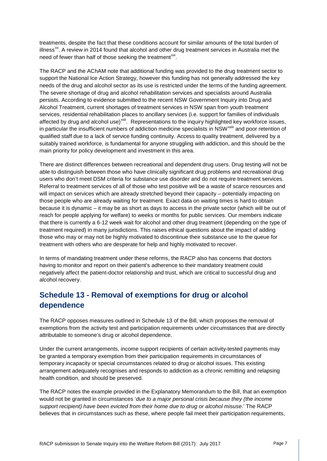treatments, despite the fact that these conditions account for similar amounts of the total burden of illness $<sup>xx</sup>$ . A review in 2014 found that alcohol and other drug treatment services in Australia met the</sup> need of fewer than half of those seeking the treatment $^{xxi}$  $^{xxi}$  $^{xxi}$ .

The RACP and the AChAM note that additional funding was provided to the drug treatment sector to support the National Ice Action Strategy, however this funding has not generally addressed the key needs of the drug and alcohol sector as its use is restricted under the terms of the funding agreement. The severe shortage of drug and alcohol rehabilitation services and specialists around Australia persists. According to evidence submitted to the recent NSW Government Inquiry into Drug and Alcohol Treatment, current shortages of treatment services in NSW span from youth treatment services, residential rehabilitation places to ancillary services (i.e. support for families of individuals affected by drug and alcohol use)<sup>[xxii](#page-12-21)</sup>. Representations to the inquiry highlighted key workforce issues, in p[a](#page-12-22)rticular the insufficient numbers of addiction medicine specialists in NSW<sup>xxiii</sup> and poor retention of qualified staff due to a lack of service funding continuity. Access to quality treatment, delivered by a suitably trained workforce, is fundamental for anyone struggling with addiction, and this should be the main priority for policy development and investment in this area.

There are distinct differences between recreational and dependent drug users. Drug testing will not be able to distinguish between those who have clinically significant drug problems and recreational drug users who don't meet DSM criteria for substance use disorder and do not require treatment services. Referral to treatment services of all of those who test positive will be a waste of scarce resources and will impact on services which are already stretched beyond their capacity – potentially impacting on those people who are already waiting for treatment. Exact data on waiting times is hard to obtain because it is dynamic – it may be as short as days to access in the private sector (which will be out of reach for people applying for welfare) to weeks or months for public services. Our members indicate that there is currently a 6-12 week wait for alcohol and other drug treatment (depending on the type of treatment required) in many jurisdictions. This raises ethical questions about the impact of adding those who may or may not be highly motivated to discontinue their substance use to the queue for treatment with others who are desperate for help and highly motivated to recover.

In terms of mandating treatment under these reforms, the RACP also has concerns that doctors having to monitor and report on their patient's adherence to their mandatory treatment could negatively affect the patient-doctor relationship and trust, which are critical to successful drug and alcohol recovery.

# **Schedule 13 - Removal of exemptions for drug or alcohol dependence**

The RACP opposes measures outlined in Schedule 13 of the Bill, which proposes the removal of exemptions from the activity test and participation requirements under circumstances that are directly attributable to someone's drug or alcohol dependence.

Under the current arrangements, income support recipients of certain activity-tested payments may be granted a temporary exemption from their participation requirements in circumstances of temporary incapacity or special circumstances related to drug or alcohol issues. This existing arrangement adequately recognises and responds to addiction as a chronic remitting and relapsing health condition, and should be preserved.

The RACP notes the example provided in the Explanatory Memorandum to the Bill, that an exemption would not be granted in circumstances '*due to a major personal crisis because they (the income support recipient) have been evicted from their home due to drug or alcohol misuse*.' The RACP believes that in circumstances such as these, where people fail meet their participation requirements,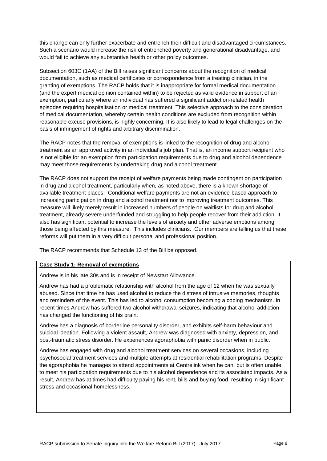this change can only further exacerbate and entrench their difficult and disadvantaged circumstances. Such a scenario would increase the risk of entrenched poverty and generational disadvantage, and would fail to achieve any substantive health or other policy outcomes.

Subsection 603C (1AA) of the Bill raises significant concerns about the recognition of medical documentation, such as medical certificates or correspondence from a treating clinician, in the granting of exemptions. The RACP holds that it is inappropriate for formal medical documentation (and the expert medical opinion contained within) to be rejected as valid evidence in support of an exemption, particularly where an individual has suffered a significant addiction-related health episodes requiring hospitalisation or medical treatment. This selective approach to the consideration of medical documentation, whereby certain health conditions are excluded from recognition within reasonable excuse provisions, is highly concerning. It is also likely to lead to legal challenges on the basis of infringement of rights and arbitrary discrimination.

The RACP notes that the removal of exemptions is linked to the recognition of drug and alcohol treatment as an approved activity in an individual's job plan. That is, an income support recipient who is not eligible for an exemption from participation requirements due to drug and alcohol dependence may meet those requirements by undertaking drug and alcohol treatment.

The RACP does not support the receipt of welfare payments being made contingent on participation in drug and alcohol treatment, particularly when, as noted above, there is a known shortage of available treatment places. Conditional welfare payments are not an evidence-based approach to increasing participation in drug and alcohol treatment nor to improving treatment outcomes. This measure will likely merely result in increased numbers of people on waitlists for drug and alcohol treatment, already severe underfunded and struggling to help people recover from their addiction. It also has significant potential to increase the levels of anxiety and other adverse emotions among those being affected by this measure. This includes clinicians. Our members are telling us that these reforms will put them in a very difficult personal and professional position.

The RACP recommends that Schedule 13 of the Bill be opposed.

#### **Case Study 1: Removal of exemptions**

Andrew is in his late 30s and is in receipt of Newstart Allowance.

Andrew has had a problematic relationship with alcohol from the age of 12 when he was sexually abused. Since that time he has used alcohol to reduce the distress of intrusive memories, thoughts and reminders of the event. This has led to alcohol consumption becoming a coping mechanism. In recent times Andrew has suffered two alcohol withdrawal seizures, indicating that alcohol addiction has changed the functioning of his brain.

Andrew has a diagnosis of borderline personality disorder, and exhibits self-harm behaviour and suicidal ideation. Following a violent assault, Andrew was diagnosed with anxiety, depression, and post-traumatic stress disorder. He experiences agoraphobia with panic disorder when in public.

Andrew has engaged with drug and alcohol treatment services on several occasions, including psychosocial treatment services and multiple attempts at residential rehabilitation programs. Despite the agoraphobia he manages to attend appointments at Centrelink when he can, but is often unable to meet his participation requirements due to his alcohol dependence and its associated impacts. As a result, Andrew has at times had difficulty paying his rent, bills and buying food, resulting in significant stress and occasional homelessness.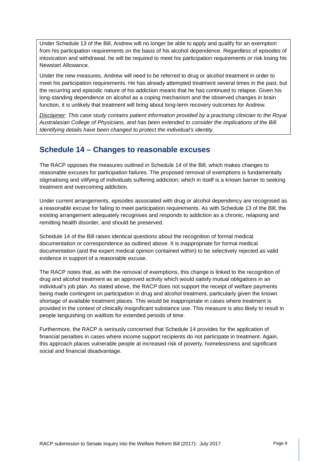Under Schedule 13 of the Bill, Andrew will no longer be able to apply and qualify for an exemption from his participation requirements on the basis of his alcohol dependence. Regardless of episodes of intoxication and withdrawal, he will be required to meet his participation requirements or risk losing his Newstart Allowance.

Under the new measures, Andrew will need to be referred to drug or alcohol treatment in order to meet his participation requirements. He has already attempted treatment several times in the past, but the recurring and episodic nature of his addiction means that he has continued to relapse. Given his long-standing dependence on alcohol as a coping mechanism and the observed changes in brain function, it is unlikely that treatment will bring about long-term recovery outcomes for Andrew.

*Disclaimer: This case study contains patient information provided by a practising clinician to the Royal Australasian College of Physicians, and has been extended to consider the implications of the Bill. Identifying details have been changed to protect the individual's identity.* 

#### **Schedule 14 – Changes to reasonable excuses**

The RACP opposes the measures outlined in Schedule 14 of the Bill, which makes changes to reasonable excuses for participation failures. The proposed removal of exemptions is fundamentally stigmatising and vilifying of individuals suffering addiction; which in itself is a known barrier to seeking treatment and overcoming addiction.

Under current arrangements, episodes associated with drug or alcohol dependency are recognised as a reasonable excuse for failing to meet participation requirements. As with Schedule 13 of the Bill, the existing arrangement adequately recognises and responds to addiction as a chronic, relapsing and remitting health disorder, and should be preserved.

Schedule 14 of the Bill raises identical questions about the recognition of formal medical documentation or correspondence as outlined above. It is inappropriate for formal medical documentation (and the expert medical opinion contained within) to be selectively rejected as valid evidence in support of a reasonable excuse.

The RACP notes that, as with the removal of exemptions, this change is linked to the recognition of drug and alcohol treatment as an approved activity which would satisfy mutual obligations in an individual's job plan. As stated above, the RACP does not support the receipt of welfare payments being made contingent on participation in drug and alcohol treatment, particularly given the known shortage of available treatment places. This would be inappropriate in cases where treatment is provided in the context of clinically insignificant substance use. This measure is also likely to result in people languishing on waitlists for extended periods of time.

Furthermore, the RACP is seriously concerned that Schedule 14 provides for the application of financial penalties in cases where income support recipients do not participate in treatment. Again, this approach places vulnerable people at increased risk of poverty, homelessness and significant social and financial disadvantage.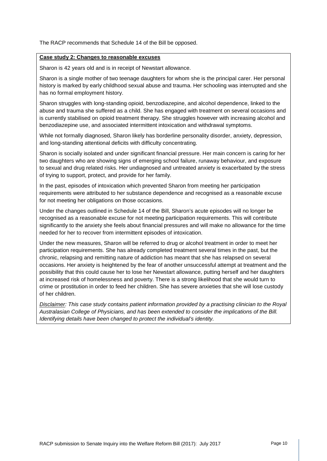The RACP recommends that Schedule 14 of the Bill be opposed.

#### **Case study 2: Changes to reasonable excuses**

Sharon is 42 years old and is in receipt of Newstart allowance.

Sharon is a single mother of two teenage daughters for whom she is the principal carer. Her personal history is marked by early childhood sexual abuse and trauma. Her schooling was interrupted and she has no formal employment history.

Sharon struggles with long-standing opioid, benzodiazepine, and alcohol dependence, linked to the abuse and trauma she suffered as a child. She has engaged with treatment on several occasions and is currently stabilised on opioid treatment therapy. She struggles however with increasing alcohol and benzodiazepine use, and associated intermittent intoxication and withdrawal symptoms.

While not formally diagnosed, Sharon likely has borderline personality disorder, anxiety, depression, and long-standing attentional deficits with difficulty concentrating.

Sharon is socially isolated and under significant financial pressure. Her main concern is caring for her two daughters who are showing signs of emerging school failure, runaway behaviour, and exposure to sexual and drug related risks. Her undiagnosed and untreated anxiety is exacerbated by the stress of trying to support, protect, and provide for her family.

In the past, episodes of intoxication which prevented Sharon from meeting her participation requirements were attributed to her substance dependence and recognised as a reasonable excuse for not meeting her obligations on those occasions.

Under the changes outlined in Schedule 14 of the Bill, Sharon's acute episodes will no longer be recognised as a reasonable excuse for not meeting participation requirements. This will contribute significantly to the anxiety she feels about financial pressures and will make no allowance for the time needed for her to recover from intermittent episodes of intoxication.

Under the new measures, Sharon will be referred to drug or alcohol treatment in order to meet her participation requirements. She has already completed treatment several times in the past, but the chronic, relapsing and remitting nature of addiction has meant that she has relapsed on several occasions. Her anxiety is heightened by the fear of another unsuccessful attempt at treatment and the possibility that this could cause her to lose her Newstart allowance, putting herself and her daughters at increased risk of homelessness and poverty. There is a strong likelihood that she would turn to crime or prostitution in order to feed her children. She has severe anxieties that she will lose custody of her children.

*Disclaimer: This case study contains patient information provided by a practising clinician to the Royal Australasian College of Physicians, and has been extended to consider the implications of the Bill. Identifying details have been changed to protect the individual's identity.*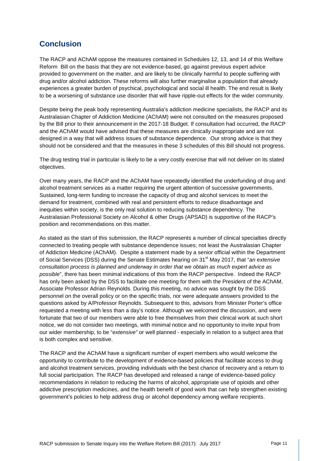# **Conclusion**

The RACP and AChAM oppose the measures contained in Schedules 12, 13, and 14 of this Welfare Reform Bill on the basis that they are not evidence-based, go against previous expert advice provided to government on the matter, and are likely to be clinically harmful to people suffering with drug and/or alcohol addiction. These reforms will also further marginalise a population that already experiences a greater burden of psychical, psychological and social ill health. The end result is likely to be a worsening of substance use disorder that will have ripple-out effects for the wider community.

Despite being the peak body representing Australia's addiction medicine specialists, the RACP and its Australasian Chapter of Addiction Medicine (AChAM) were not consulted on the measures proposed by the Bill prior to their announcement in the 2017-18 Budget. If consultation had occurred, the RACP and the AChAM would have advised that these measures are clinically inappropriate and are not designed in a way that will address issues of substance dependence. Our strong advice is that they should not be considered and that the measures in these 3 schedules of this Bill should not progress.

The drug testing trial in particular is likely to be a very costly exercise that will not deliver on its stated objectives.

Over many years, the RACP and the AChAM have repeatedly identified the underfunding of drug and alcohol treatment services as a matter requiring the urgent attention of successive governments. Sustained, long-term funding to increase the capacity of drug and alcohol services to meet the demand for treatment, combined with real and persistent efforts to reduce disadvantage and inequities within society, is the only real solution to reducing substance dependency. The Australasian Professional Society on Alcohol & other Drugs (APSAD) is supportive of the RACP's position and recommendations on this matter.

As stated as the start of this submission, the RACP represents a number of clinical specialties directly connected to treating people with substance dependence issues; not least the Australasian Chapter of Addiction Medicine (AChAM). Despite a statement made by a senior official within the Department of Social Services (DSS) during the Senate Estimates hearing on 31st May 2017, that "*an extensive consultation process is planned and underway in order that we obtain as much expert advice as possible*", there has been minimal indications of this from the RACP perspective. Indeed the RACP has only been asked by the DSS to facilitate one meeting for them with the President of the AChAM, Associate Professor Adrian Reynolds. During this meeting, no advice was sought by the DSS personnel on the overall policy or on the specific trials, nor were adequate answers provided to the questions asked by A/Professor Reynolds. Subsequent to this, advisors from Minister Porter's office requested a meeting with less than a day's notice. Although we welcomed the discussion, and were fortunate that two of our members were able to free themselves from their clinical work at such short notice, we do not consider two meetings, with minimal notice and no opportunity to invite input from our wider membership, to be "*extensive"* or well planned - especially in relation to a subject area that is both complex and sensitive.

The RACP and the AChAM have a significant number of expert members who would welcome the opportunity to contribute to the development of evidence-based policies that facilitate access to drug and alcohol treatment services, providing individuals with the best chance of recovery and a return to full social participation. The RACP has developed and released a range of evidence-based policy recommendations in relation to reducing the harms of alcohol, appropriate use of opioids and other addictive prescription medicines, and the health benefit of good work that can help strengthen existing government's policies to help address drug or alcohol dependency among welfare recipients.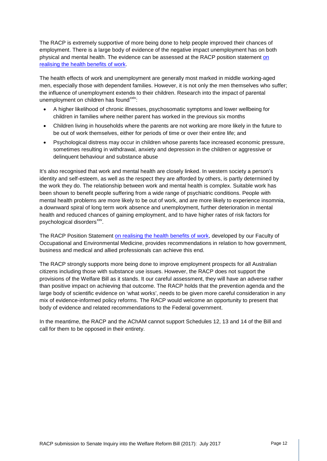The RACP is extremely supportive of more being done to help people improved their chances of employment. There is a large body of evidence of the negative impact unemployment has on both physical and mental health. The evidence can be assessed at the RACP position statement [on](https://www.racp.edu.au/docs/default-source/advocacy-library/realising-the-health-benefits-of-work.pdf?sfvrsn=10)  [realising the health benefits of work.](https://www.racp.edu.au/docs/default-source/advocacy-library/realising-the-health-benefits-of-work.pdf?sfvrsn=10)

The health effects of work and unemployment are generally most marked in middle working-aged men, especially those with dependent families. However, it is not only the men themselves who suffer; the influence of unemployment extends to their children. Research into the impact of parental unemployment on children has found $\frac{xxiv}{x}$  $\frac{xxiv}{x}$  $\frac{xxiv}{x}$ .

- A higher likelihood of chronic illnesses, psychosomatic symptoms and lower wellbeing for children in families where neither parent has worked in the previous six months
- Children living in households where the parents are not working are more likely in the future to be out of work themselves, either for periods of time or over their entire life; and
- Psychological distress may occur in children whose parents face increased economic pressure, sometimes resulting in withdrawal, anxiety and depression in the children or aggressive or delinquent behaviour and substance abuse

It's also recognised that work and mental health are closely linked. In western society a person's identity and self-esteem, as well as the respect they are afforded by others, is partly determined by the work they do. The relationship between work and mental health is complex. Suitable work has been shown to benefit people suffering from a wide range of psychiatric conditions. People with mental health problems are more likely to be out of work, and are more likely to experience insomnia, a downward spiral of long term work absence and unemployment, further deterioration in mental health and reduced chances of gaining employment, and to have higher rates of risk factors for psychological disorders<sup>xxv</sup>.

The RACP Position Statement [on realising the health benefits of work,](https://www.racp.edu.au/docs/default-source/advocacy-library/realising-the-health-benefits-of-work.pdf?sfvrsn=10) developed by our Faculty of Occupational and Environmental Medicine, provides recommendations in relation to how government, business and medical and allied professionals can achieve this end.

The RACP strongly supports more being done to improve employment prospects for all Australian citizens including those with substance use issues. However, the RACP does not support the provisions of the Welfare Bill as it stands. It our careful assessment, they will have an adverse rather than positive impact on achieving that outcome. The RACP holds that the prevention agenda and the large body of scientific evidence on 'what works', needs to be given more careful consideration in any mix of evidence-informed policy reforms. The RACP would welcome an opportunity to present that body of evidence and related recommendations to the Federal government.

In the meantime, the RACP and the AChAM cannot support Schedules 12, 13 and 14 of the Bill and call for them to be opposed in their entirety.